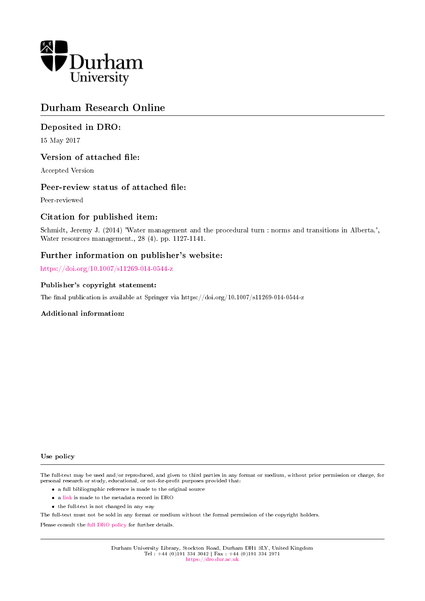

# Durham Research Online

# Deposited in DRO:

15 May 2017

### Version of attached file:

Accepted Version

### Peer-review status of attached file:

Peer-reviewed

### Citation for published item:

Schmidt, Jeremy J. (2014) 'Water management and the procedural turn : norms and transitions in Alberta.', Water resources management., 28 (4). pp. 1127-1141.

# Further information on publisher's website:

<https://doi.org/10.1007/s11269-014-0544-z>

### Publisher's copyright statement:

The final publication is available at Springer via https://doi.org/10.1007/s11269-014-0544-z

### Additional information:

#### Use policy

The full-text may be used and/or reproduced, and given to third parties in any format or medium, without prior permission or charge, for personal research or study, educational, or not-for-profit purposes provided that:

- a full bibliographic reference is made to the original source
- a [link](http://dro.dur.ac.uk/21787/) is made to the metadata record in DRO
- the full-text is not changed in any way

The full-text must not be sold in any format or medium without the formal permission of the copyright holders.

Please consult the [full DRO policy](https://dro.dur.ac.uk/policies/usepolicy.pdf) for further details.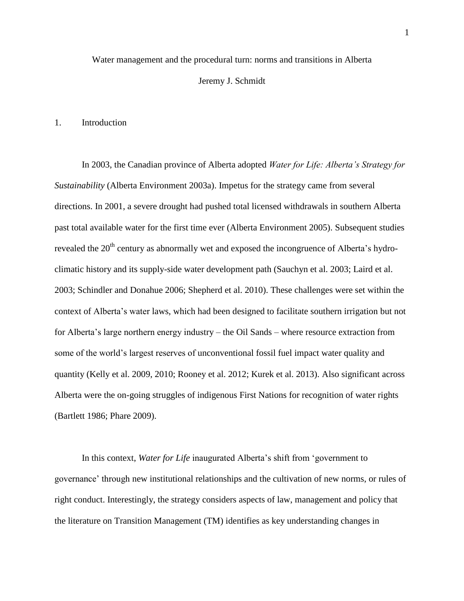Water management and the procedural turn: norms and transitions in Alberta

#### Jeremy J. Schmidt

#### 1. Introduction

In 2003, the Canadian province of Alberta adopted *Water for Life: Alberta's Strategy for Sustainability* (Alberta Environment 2003a). Impetus for the strategy came from several directions. In 2001, a severe drought had pushed total licensed withdrawals in southern Alberta past total available water for the first time ever (Alberta Environment 2005). Subsequent studies revealed the 20<sup>th</sup> century as abnormally wet and exposed the incongruence of Alberta's hydroclimatic history and its supply-side water development path (Sauchyn et al. 2003; Laird et al. 2003; Schindler and Donahue 2006; Shepherd et al. 2010). These challenges were set within the context of Alberta's water laws, which had been designed to facilitate southern irrigation but not for Alberta's large northern energy industry – the Oil Sands – where resource extraction from some of the world's largest reserves of unconventional fossil fuel impact water quality and quantity (Kelly et al. 2009, 2010; Rooney et al. 2012; Kurek et al. 2013). Also significant across Alberta were the on-going struggles of indigenous First Nations for recognition of water rights (Bartlett 1986; Phare 2009).

In this context, *Water for Life* inaugurated Alberta's shift from 'government to governance' through new institutional relationships and the cultivation of new norms, or rules of right conduct. Interestingly, the strategy considers aspects of law, management and policy that the literature on Transition Management (TM) identifies as key understanding changes in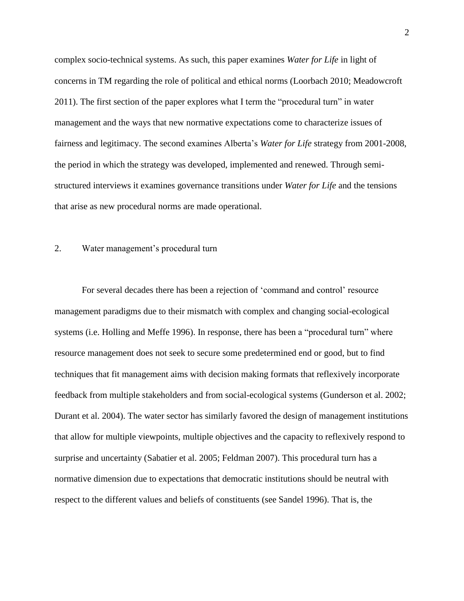complex socio-technical systems. As such, this paper examines *Water for Life* in light of concerns in TM regarding the role of political and ethical norms (Loorbach 2010; Meadowcroft 2011). The first section of the paper explores what I term the "procedural turn" in water management and the ways that new normative expectations come to characterize issues of fairness and legitimacy. The second examines Alberta's *Water for Life* strategy from 2001-2008, the period in which the strategy was developed, implemented and renewed. Through semistructured interviews it examines governance transitions under *Water for Life* and the tensions that arise as new procedural norms are made operational.

### 2. Water management's procedural turn

For several decades there has been a rejection of 'command and control' resource management paradigms due to their mismatch with complex and changing social-ecological systems (i.e. Holling and Meffe 1996). In response, there has been a "procedural turn" where resource management does not seek to secure some predetermined end or good, but to find techniques that fit management aims with decision making formats that reflexively incorporate feedback from multiple stakeholders and from social-ecological systems (Gunderson et al. 2002; Durant et al. 2004). The water sector has similarly favored the design of management institutions that allow for multiple viewpoints, multiple objectives and the capacity to reflexively respond to surprise and uncertainty (Sabatier et al. 2005; Feldman 2007). This procedural turn has a normative dimension due to expectations that democratic institutions should be neutral with respect to the different values and beliefs of constituents (see Sandel 1996). That is, the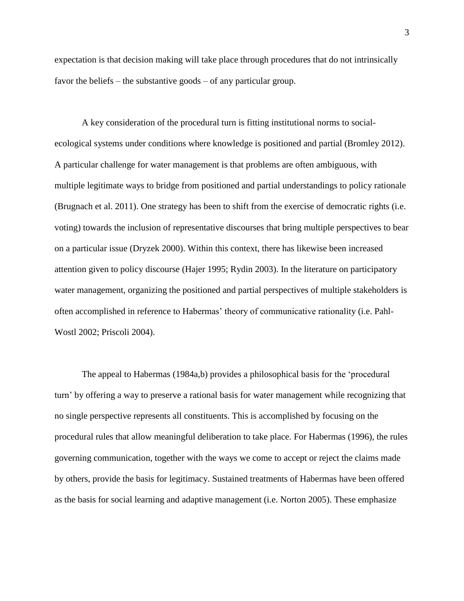expectation is that decision making will take place through procedures that do not intrinsically favor the beliefs – the substantive goods – of any particular group.

A key consideration of the procedural turn is fitting institutional norms to socialecological systems under conditions where knowledge is positioned and partial (Bromley 2012). A particular challenge for water management is that problems are often ambiguous, with multiple legitimate ways to bridge from positioned and partial understandings to policy rationale (Brugnach et al. 2011). One strategy has been to shift from the exercise of democratic rights (i.e. voting) towards the inclusion of representative discourses that bring multiple perspectives to bear on a particular issue (Dryzek 2000). Within this context, there has likewise been increased attention given to policy discourse (Hajer 1995; Rydin 2003). In the literature on participatory water management, organizing the positioned and partial perspectives of multiple stakeholders is often accomplished in reference to Habermas' theory of communicative rationality (i.e. Pahl-Wostl 2002; Priscoli 2004).

The appeal to Habermas (1984a,b) provides a philosophical basis for the 'procedural turn' by offering a way to preserve a rational basis for water management while recognizing that no single perspective represents all constituents. This is accomplished by focusing on the procedural rules that allow meaningful deliberation to take place. For Habermas (1996), the rules governing communication, together with the ways we come to accept or reject the claims made by others, provide the basis for legitimacy. Sustained treatments of Habermas have been offered as the basis for social learning and adaptive management (i.e. Norton 2005). These emphasize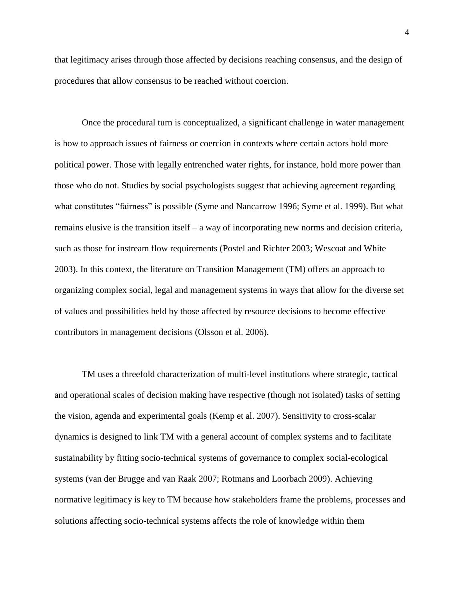that legitimacy arises through those affected by decisions reaching consensus, and the design of procedures that allow consensus to be reached without coercion.

Once the procedural turn is conceptualized, a significant challenge in water management is how to approach issues of fairness or coercion in contexts where certain actors hold more political power. Those with legally entrenched water rights, for instance, hold more power than those who do not. Studies by social psychologists suggest that achieving agreement regarding what constitutes "fairness" is possible (Syme and Nancarrow 1996; Syme et al. 1999). But what remains elusive is the transition itself – a way of incorporating new norms and decision criteria, such as those for instream flow requirements (Postel and Richter 2003; Wescoat and White 2003). In this context, the literature on Transition Management (TM) offers an approach to organizing complex social, legal and management systems in ways that allow for the diverse set of values and possibilities held by those affected by resource decisions to become effective contributors in management decisions (Olsson et al. 2006).

TM uses a threefold characterization of multi-level institutions where strategic, tactical and operational scales of decision making have respective (though not isolated) tasks of setting the vision, agenda and experimental goals (Kemp et al. 2007). Sensitivity to cross-scalar dynamics is designed to link TM with a general account of complex systems and to facilitate sustainability by fitting socio-technical systems of governance to complex social-ecological systems (van der Brugge and van Raak 2007; Rotmans and Loorbach 2009). Achieving normative legitimacy is key to TM because how stakeholders frame the problems, processes and solutions affecting socio-technical systems affects the role of knowledge within them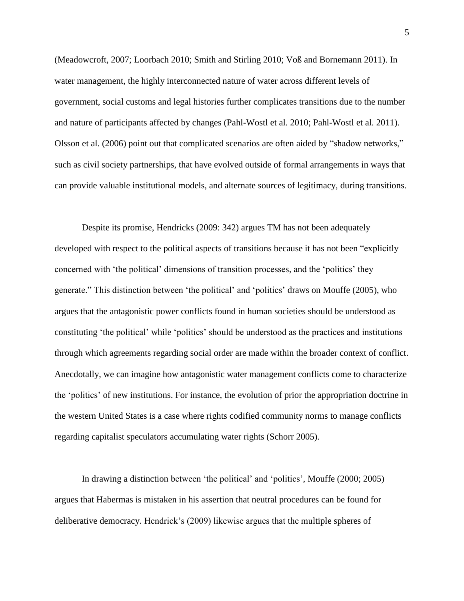(Meadowcroft, 2007; Loorbach 2010; Smith and Stirling 2010; Voß and Bornemann 2011). In water management, the highly interconnected nature of water across different levels of government, social customs and legal histories further complicates transitions due to the number and nature of participants affected by changes (Pahl-Wostl et al. 2010; Pahl-Wostl et al. 2011). Olsson et al. (2006) point out that complicated scenarios are often aided by "shadow networks," such as civil society partnerships, that have evolved outside of formal arrangements in ways that can provide valuable institutional models, and alternate sources of legitimacy, during transitions.

Despite its promise, Hendricks (2009: 342) argues TM has not been adequately developed with respect to the political aspects of transitions because it has not been "explicitly concerned with 'the political' dimensions of transition processes, and the 'politics' they generate." This distinction between 'the political' and 'politics' draws on Mouffe (2005), who argues that the antagonistic power conflicts found in human societies should be understood as constituting 'the political' while 'politics' should be understood as the practices and institutions through which agreements regarding social order are made within the broader context of conflict. Anecdotally, we can imagine how antagonistic water management conflicts come to characterize the 'politics' of new institutions. For instance, the evolution of prior the appropriation doctrine in the western United States is a case where rights codified community norms to manage conflicts regarding capitalist speculators accumulating water rights (Schorr 2005).

In drawing a distinction between 'the political' and 'politics', Mouffe (2000; 2005) argues that Habermas is mistaken in his assertion that neutral procedures can be found for deliberative democracy. Hendrick's (2009) likewise argues that the multiple spheres of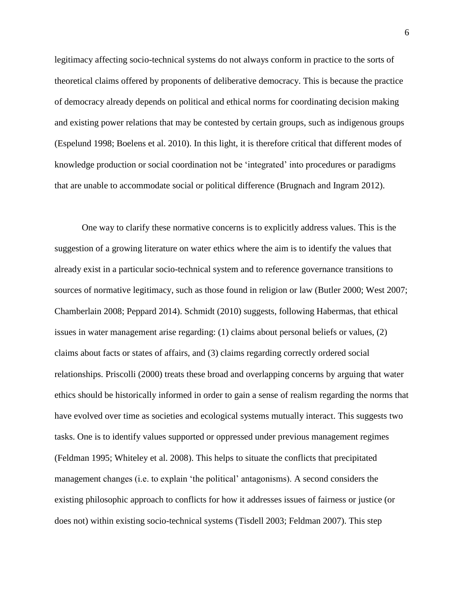legitimacy affecting socio-technical systems do not always conform in practice to the sorts of theoretical claims offered by proponents of deliberative democracy. This is because the practice of democracy already depends on political and ethical norms for coordinating decision making and existing power relations that may be contested by certain groups, such as indigenous groups (Espelund 1998; Boelens et al. 2010). In this light, it is therefore critical that different modes of knowledge production or social coordination not be 'integrated' into procedures or paradigms that are unable to accommodate social or political difference (Brugnach and Ingram 2012).

One way to clarify these normative concerns is to explicitly address values. This is the suggestion of a growing literature on water ethics where the aim is to identify the values that already exist in a particular socio-technical system and to reference governance transitions to sources of normative legitimacy, such as those found in religion or law (Butler 2000; West 2007; Chamberlain 2008; Peppard 2014). Schmidt (2010) suggests, following Habermas, that ethical issues in water management arise regarding: (1) claims about personal beliefs or values, (2) claims about facts or states of affairs, and (3) claims regarding correctly ordered social relationships. Priscolli (2000) treats these broad and overlapping concerns by arguing that water ethics should be historically informed in order to gain a sense of realism regarding the norms that have evolved over time as societies and ecological systems mutually interact. This suggests two tasks. One is to identify values supported or oppressed under previous management regimes (Feldman 1995; Whiteley et al. 2008). This helps to situate the conflicts that precipitated management changes (i.e. to explain 'the political' antagonisms). A second considers the existing philosophic approach to conflicts for how it addresses issues of fairness or justice (or does not) within existing socio-technical systems (Tisdell 2003; Feldman 2007). This step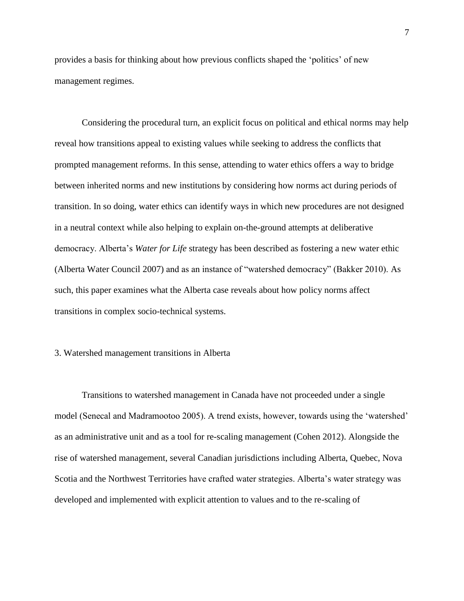provides a basis for thinking about how previous conflicts shaped the 'politics' of new management regimes.

Considering the procedural turn, an explicit focus on political and ethical norms may help reveal how transitions appeal to existing values while seeking to address the conflicts that prompted management reforms. In this sense, attending to water ethics offers a way to bridge between inherited norms and new institutions by considering how norms act during periods of transition. In so doing, water ethics can identify ways in which new procedures are not designed in a neutral context while also helping to explain on-the-ground attempts at deliberative democracy. Alberta's *Water for Life* strategy has been described as fostering a new water ethic (Alberta Water Council 2007) and as an instance of "watershed democracy" (Bakker 2010). As such, this paper examines what the Alberta case reveals about how policy norms affect transitions in complex socio-technical systems.

#### 3. Watershed management transitions in Alberta

Transitions to watershed management in Canada have not proceeded under a single model (Senecal and Madramootoo 2005). A trend exists, however, towards using the 'watershed' as an administrative unit and as a tool for re-scaling management (Cohen 2012). Alongside the rise of watershed management, several Canadian jurisdictions including Alberta, Quebec, Nova Scotia and the Northwest Territories have crafted water strategies. Alberta's water strategy was developed and implemented with explicit attention to values and to the re-scaling of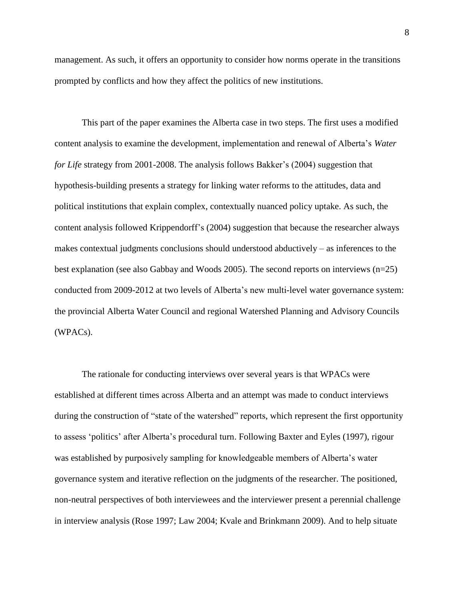management. As such, it offers an opportunity to consider how norms operate in the transitions prompted by conflicts and how they affect the politics of new institutions.

This part of the paper examines the Alberta case in two steps. The first uses a modified content analysis to examine the development, implementation and renewal of Alberta's *Water for Life* strategy from 2001-2008. The analysis follows Bakker's (2004) suggestion that hypothesis-building presents a strategy for linking water reforms to the attitudes, data and political institutions that explain complex, contextually nuanced policy uptake. As such, the content analysis followed Krippendorff's (2004) suggestion that because the researcher always makes contextual judgments conclusions should understood abductively – as inferences to the best explanation (see also Gabbay and Woods 2005). The second reports on interviews (n=25) conducted from 2009-2012 at two levels of Alberta's new multi-level water governance system: the provincial Alberta Water Council and regional Watershed Planning and Advisory Councils (WPACs).

The rationale for conducting interviews over several years is that WPACs were established at different times across Alberta and an attempt was made to conduct interviews during the construction of "state of the watershed" reports, which represent the first opportunity to assess 'politics' after Alberta's procedural turn. Following Baxter and Eyles (1997), rigour was established by purposively sampling for knowledgeable members of Alberta's water governance system and iterative reflection on the judgments of the researcher. The positioned, non-neutral perspectives of both interviewees and the interviewer present a perennial challenge in interview analysis (Rose 1997; Law 2004; Kvale and Brinkmann 2009). And to help situate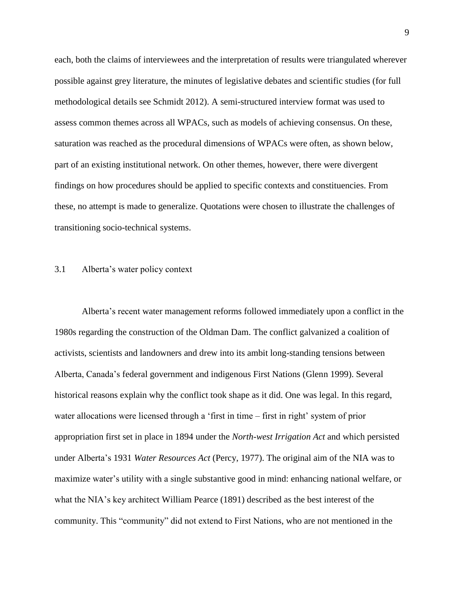each, both the claims of interviewees and the interpretation of results were triangulated wherever possible against grey literature, the minutes of legislative debates and scientific studies (for full methodological details see Schmidt 2012). A semi-structured interview format was used to assess common themes across all WPACs, such as models of achieving consensus. On these, saturation was reached as the procedural dimensions of WPACs were often, as shown below, part of an existing institutional network. On other themes, however, there were divergent findings on how procedures should be applied to specific contexts and constituencies. From these, no attempt is made to generalize. Quotations were chosen to illustrate the challenges of transitioning socio-technical systems.

#### 3.1 Alberta's water policy context

Alberta's recent water management reforms followed immediately upon a conflict in the 1980s regarding the construction of the Oldman Dam. The conflict galvanized a coalition of activists, scientists and landowners and drew into its ambit long-standing tensions between Alberta, Canada's federal government and indigenous First Nations (Glenn 1999). Several historical reasons explain why the conflict took shape as it did. One was legal. In this regard, water allocations were licensed through a 'first in time – first in right' system of prior appropriation first set in place in 1894 under the *North-west Irrigation Act* and which persisted under Alberta's 1931 *Water Resources Act* (Percy, 1977). The original aim of the NIA was to maximize water's utility with a single substantive good in mind: enhancing national welfare, or what the NIA's key architect William Pearce (1891) described as the best interest of the community. This "community" did not extend to First Nations, who are not mentioned in the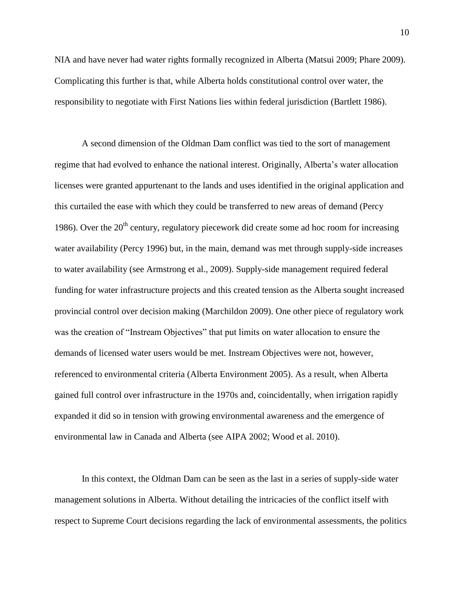NIA and have never had water rights formally recognized in Alberta (Matsui 2009; Phare 2009). Complicating this further is that, while Alberta holds constitutional control over water, the responsibility to negotiate with First Nations lies within federal jurisdiction (Bartlett 1986).

A second dimension of the Oldman Dam conflict was tied to the sort of management regime that had evolved to enhance the national interest. Originally, Alberta's water allocation licenses were granted appurtenant to the lands and uses identified in the original application and this curtailed the ease with which they could be transferred to new areas of demand (Percy 1986). Over the  $20<sup>th</sup>$  century, regulatory piecework did create some ad hoc room for increasing water availability (Percy 1996) but, in the main, demand was met through supply-side increases to water availability (see Armstrong et al., 2009). Supply-side management required federal funding for water infrastructure projects and this created tension as the Alberta sought increased provincial control over decision making (Marchildon 2009). One other piece of regulatory work was the creation of "Instream Objectives" that put limits on water allocation to ensure the demands of licensed water users would be met. Instream Objectives were not, however, referenced to environmental criteria (Alberta Environment 2005). As a result, when Alberta gained full control over infrastructure in the 1970s and, coincidentally, when irrigation rapidly expanded it did so in tension with growing environmental awareness and the emergence of environmental law in Canada and Alberta (see AIPA 2002; Wood et al. 2010).

In this context, the Oldman Dam can be seen as the last in a series of supply-side water management solutions in Alberta. Without detailing the intricacies of the conflict itself with respect to Supreme Court decisions regarding the lack of environmental assessments, the politics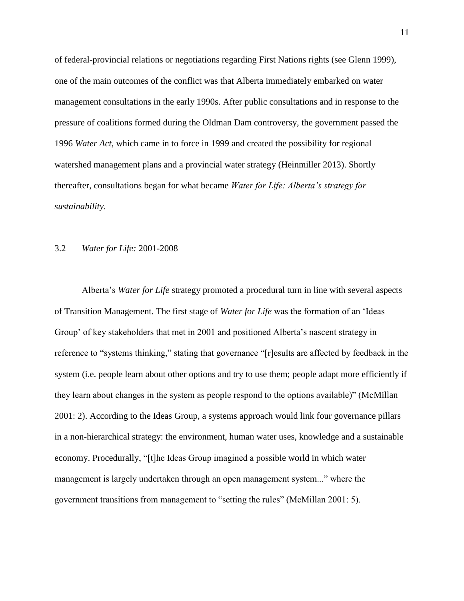of federal-provincial relations or negotiations regarding First Nations rights (see Glenn 1999), one of the main outcomes of the conflict was that Alberta immediately embarked on water management consultations in the early 1990s. After public consultations and in response to the pressure of coalitions formed during the Oldman Dam controversy, the government passed the 1996 *Water Act*, which came in to force in 1999 and created the possibility for regional watershed management plans and a provincial water strategy (Heinmiller 2013). Shortly thereafter, consultations began for what became *Water for Life: Alberta's strategy for sustainability*.

### 3.2 *Water for Life:* 2001-2008

Alberta's *Water for Life* strategy promoted a procedural turn in line with several aspects of Transition Management. The first stage of *Water for Life* was the formation of an 'Ideas Group' of key stakeholders that met in 2001 and positioned Alberta's nascent strategy in reference to "systems thinking," stating that governance "[r]esults are affected by feedback in the system (i.e. people learn about other options and try to use them; people adapt more efficiently if they learn about changes in the system as people respond to the options available)" (McMillan 2001: 2). According to the Ideas Group, a systems approach would link four governance pillars in a non-hierarchical strategy: the environment, human water uses, knowledge and a sustainable economy. Procedurally, "[t]he Ideas Group imagined a possible world in which water management is largely undertaken through an open management system..." where the government transitions from management to "setting the rules" (McMillan 2001: 5).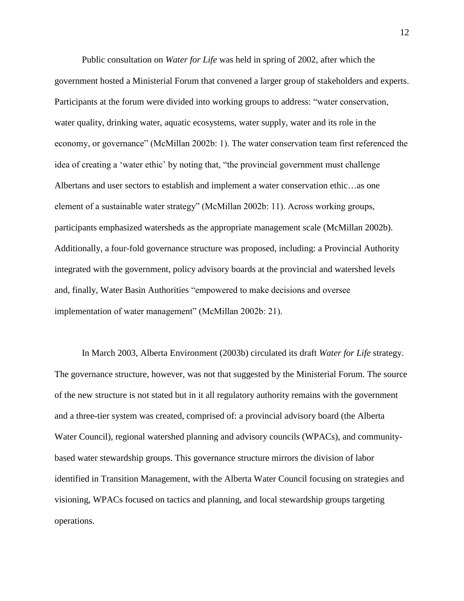Public consultation on *Water for Life* was held in spring of 2002, after which the government hosted a Ministerial Forum that convened a larger group of stakeholders and experts. Participants at the forum were divided into working groups to address: "water conservation, water quality, drinking water, aquatic ecosystems, water supply, water and its role in the economy, or governance" (McMillan 2002b: 1). The water conservation team first referenced the idea of creating a 'water ethic' by noting that, "the provincial government must challenge Albertans and user sectors to establish and implement a water conservation ethic…as one element of a sustainable water strategy" (McMillan 2002b: 11). Across working groups, participants emphasized watersheds as the appropriate management scale (McMillan 2002b). Additionally, a four-fold governance structure was proposed, including: a Provincial Authority integrated with the government, policy advisory boards at the provincial and watershed levels and, finally, Water Basin Authorities "empowered to make decisions and oversee implementation of water management" (McMillan 2002b: 21).

In March 2003, Alberta Environment (2003b) circulated its draft *Water for Life* strategy. The governance structure, however, was not that suggested by the Ministerial Forum. The source of the new structure is not stated but in it all regulatory authority remains with the government and a three-tier system was created, comprised of: a provincial advisory board (the Alberta Water Council), regional watershed planning and advisory councils (WPACs), and communitybased water stewardship groups. This governance structure mirrors the division of labor identified in Transition Management, with the Alberta Water Council focusing on strategies and visioning, WPACs focused on tactics and planning, and local stewardship groups targeting operations.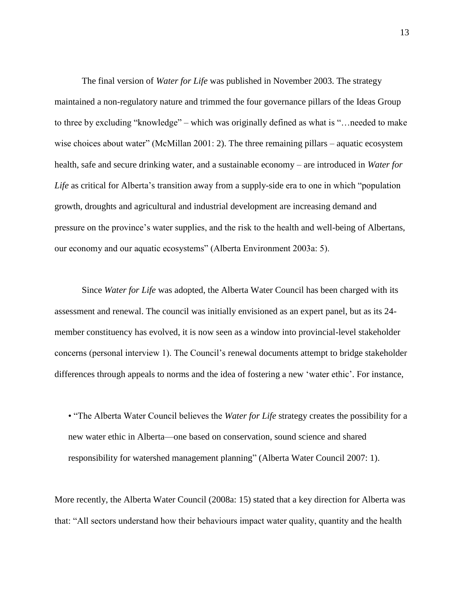The final version of *Water for Life* was published in November 2003. The strategy maintained a non-regulatory nature and trimmed the four governance pillars of the Ideas Group to three by excluding "knowledge" – which was originally defined as what is "…needed to make wise choices about water" (McMillan 2001: 2). The three remaining pillars – aquatic ecosystem health, safe and secure drinking water, and a sustainable economy – are introduced in *Water for Life* as critical for Alberta's transition away from a supply-side era to one in which "population growth, droughts and agricultural and industrial development are increasing demand and pressure on the province's water supplies, and the risk to the health and well-being of Albertans, our economy and our aquatic ecosystems" (Alberta Environment 2003a: 5).

Since *Water for Life* was adopted, the Alberta Water Council has been charged with its assessment and renewal. The council was initially envisioned as an expert panel, but as its 24 member constituency has evolved, it is now seen as a window into provincial-level stakeholder concerns (personal interview 1). The Council's renewal documents attempt to bridge stakeholder differences through appeals to norms and the idea of fostering a new 'water ethic'. For instance,

• "The Alberta Water Council believes the *Water for Life* strategy creates the possibility for a new water ethic in Alberta—one based on conservation, sound science and shared responsibility for watershed management planning" (Alberta Water Council 2007: 1).

More recently, the Alberta Water Council (2008a: 15) stated that a key direction for Alberta was that: "All sectors understand how their behaviours impact water quality, quantity and the health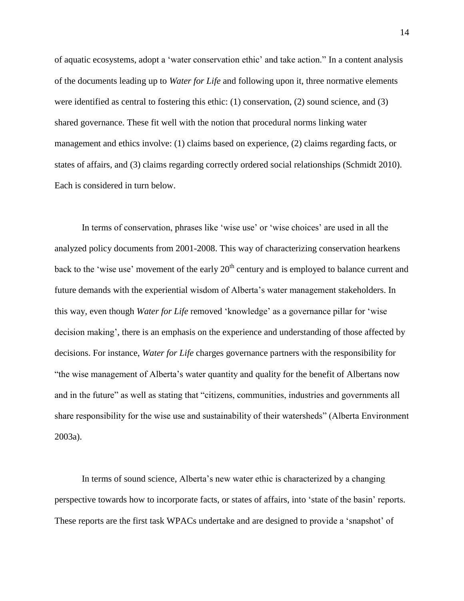of aquatic ecosystems, adopt a 'water conservation ethic' and take action." In a content analysis of the documents leading up to *Water for Life* and following upon it, three normative elements were identified as central to fostering this ethic: (1) conservation, (2) sound science, and (3) shared governance. These fit well with the notion that procedural norms linking water management and ethics involve: (1) claims based on experience, (2) claims regarding facts, or states of affairs, and (3) claims regarding correctly ordered social relationships (Schmidt 2010). Each is considered in turn below.

In terms of conservation, phrases like 'wise use' or 'wise choices' are used in all the analyzed policy documents from 2001-2008. This way of characterizing conservation hearkens back to the 'wise use' movement of the early  $20<sup>th</sup>$  century and is employed to balance current and future demands with the experiential wisdom of Alberta's water management stakeholders. In this way, even though *Water for Life* removed 'knowledge' as a governance pillar for 'wise decision making', there is an emphasis on the experience and understanding of those affected by decisions. For instance, *Water for Life* charges governance partners with the responsibility for "the wise management of Alberta's water quantity and quality for the benefit of Albertans now and in the future" as well as stating that "citizens, communities, industries and governments all share responsibility for the wise use and sustainability of their watersheds" (Alberta Environment 2003a).

In terms of sound science, Alberta's new water ethic is characterized by a changing perspective towards how to incorporate facts, or states of affairs, into 'state of the basin' reports. These reports are the first task WPACs undertake and are designed to provide a 'snapshot' of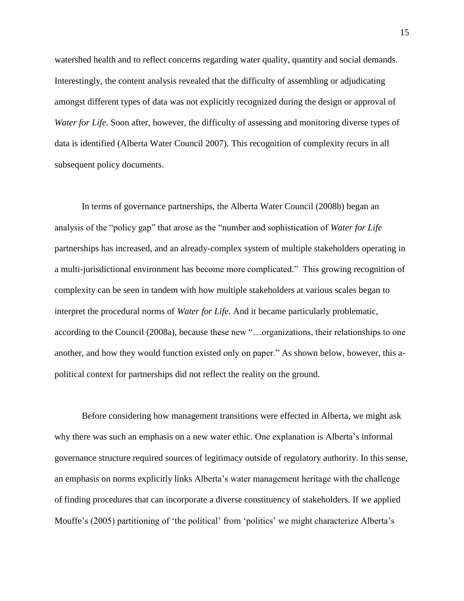watershed health and to reflect concerns regarding water quality, quantity and social demands. Interestingly, the content analysis revealed that the difficulty of assembling or adjudicating amongst different types of data was not explicitly recognized during the design or approval of *Water for Life*. Soon after, however, the difficulty of assessing and monitoring diverse types of data is identified (Alberta Water Council 2007). This recognition of complexity recurs in all subsequent policy documents.

In terms of governance partnerships, the Alberta Water Council (2008b) began an analysis of the "policy gap" that arose as the "number and sophistication of *Water for Life* partnerships has increased, and an already-complex system of multiple stakeholders operating in a multi-jurisdictional environment has become more complicated." This growing recognition of complexity can be seen in tandem with how multiple stakeholders at various scales began to interpret the procedural norms of *Water for Life*. And it became particularly problematic, according to the Council (2008a), because these new "…organizations, their relationships to one another, and how they would function existed only on paper." As shown below, however, this apolitical context for partnerships did not reflect the reality on the ground.

Before considering how management transitions were effected in Alberta, we might ask why there was such an emphasis on a new water ethic. One explanation is Alberta's informal governance structure required sources of legitimacy outside of regulatory authority. In this sense, an emphasis on norms explicitly links Alberta's water management heritage with the challenge of finding procedures that can incorporate a diverse constituency of stakeholders. If we applied Mouffe's (2005) partitioning of 'the political' from 'politics' we might characterize Alberta's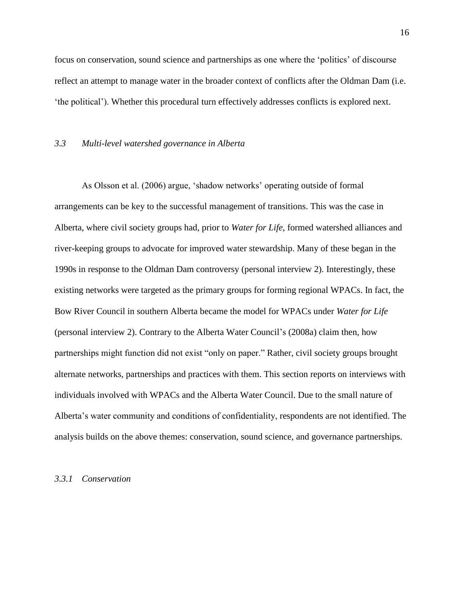focus on conservation, sound science and partnerships as one where the 'politics' of discourse reflect an attempt to manage water in the broader context of conflicts after the Oldman Dam (i.e. 'the political'). Whether this procedural turn effectively addresses conflicts is explored next.

### *3.3 Multi-level watershed governance in Alberta*

As Olsson et al. (2006) argue, 'shadow networks' operating outside of formal arrangements can be key to the successful management of transitions. This was the case in Alberta, where civil society groups had, prior to *Water for Life*, formed watershed alliances and river-keeping groups to advocate for improved water stewardship. Many of these began in the 1990s in response to the Oldman Dam controversy (personal interview 2). Interestingly, these existing networks were targeted as the primary groups for forming regional WPACs. In fact, the Bow River Council in southern Alberta became the model for WPACs under *Water for Life*  (personal interview 2). Contrary to the Alberta Water Council's (2008a) claim then, how partnerships might function did not exist "only on paper." Rather, civil society groups brought alternate networks, partnerships and practices with them. This section reports on interviews with individuals involved with WPACs and the Alberta Water Council. Due to the small nature of Alberta's water community and conditions of confidentiality, respondents are not identified. The analysis builds on the above themes: conservation, sound science, and governance partnerships.

#### *3.3.1 Conservation*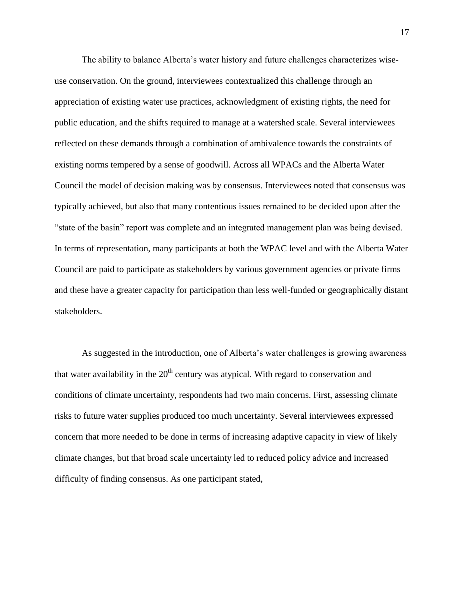The ability to balance Alberta's water history and future challenges characterizes wiseuse conservation. On the ground, interviewees contextualized this challenge through an appreciation of existing water use practices, acknowledgment of existing rights, the need for public education, and the shifts required to manage at a watershed scale. Several interviewees reflected on these demands through a combination of ambivalence towards the constraints of existing norms tempered by a sense of goodwill. Across all WPACs and the Alberta Water Council the model of decision making was by consensus. Interviewees noted that consensus was typically achieved, but also that many contentious issues remained to be decided upon after the "state of the basin" report was complete and an integrated management plan was being devised. In terms of representation, many participants at both the WPAC level and with the Alberta Water Council are paid to participate as stakeholders by various government agencies or private firms and these have a greater capacity for participation than less well-funded or geographically distant stakeholders.

As suggested in the introduction, one of Alberta's water challenges is growing awareness that water availability in the  $20<sup>th</sup>$  century was atypical. With regard to conservation and conditions of climate uncertainty, respondents had two main concerns. First, assessing climate risks to future water supplies produced too much uncertainty. Several interviewees expressed concern that more needed to be done in terms of increasing adaptive capacity in view of likely climate changes, but that broad scale uncertainty led to reduced policy advice and increased difficulty of finding consensus. As one participant stated,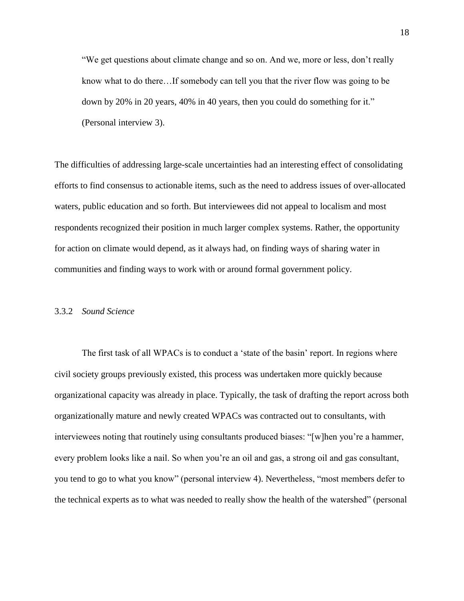"We get questions about climate change and so on. And we, more or less, don't really know what to do there…If somebody can tell you that the river flow was going to be down by 20% in 20 years, 40% in 40 years, then you could do something for it." (Personal interview 3).

The difficulties of addressing large-scale uncertainties had an interesting effect of consolidating efforts to find consensus to actionable items, such as the need to address issues of over-allocated waters, public education and so forth. But interviewees did not appeal to localism and most respondents recognized their position in much larger complex systems. Rather, the opportunity for action on climate would depend, as it always had, on finding ways of sharing water in communities and finding ways to work with or around formal government policy.

### 3.3.2 *Sound Science*

The first task of all WPACs is to conduct a 'state of the basin' report. In regions where civil society groups previously existed, this process was undertaken more quickly because organizational capacity was already in place. Typically, the task of drafting the report across both organizationally mature and newly created WPACs was contracted out to consultants, with interviewees noting that routinely using consultants produced biases: "[w]hen you're a hammer, every problem looks like a nail. So when you're an oil and gas, a strong oil and gas consultant, you tend to go to what you know" (personal interview 4). Nevertheless, "most members defer to the technical experts as to what was needed to really show the health of the watershed" (personal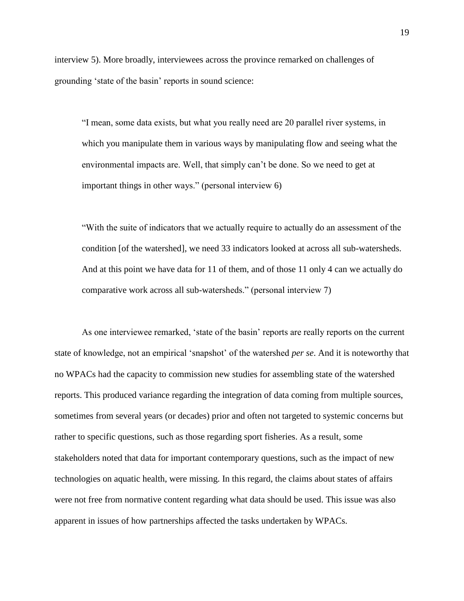interview 5). More broadly, interviewees across the province remarked on challenges of grounding 'state of the basin' reports in sound science:

"I mean, some data exists, but what you really need are 20 parallel river systems, in which you manipulate them in various ways by manipulating flow and seeing what the environmental impacts are. Well, that simply can't be done. So we need to get at important things in other ways." (personal interview 6)

"With the suite of indicators that we actually require to actually do an assessment of the condition [of the watershed], we need 33 indicators looked at across all sub-watersheds. And at this point we have data for 11 of them, and of those 11 only 4 can we actually do comparative work across all sub-watersheds." (personal interview 7)

As one interviewee remarked, 'state of the basin' reports are really reports on the current state of knowledge, not an empirical 'snapshot' of the watershed *per se*. And it is noteworthy that no WPACs had the capacity to commission new studies for assembling state of the watershed reports. This produced variance regarding the integration of data coming from multiple sources, sometimes from several years (or decades) prior and often not targeted to systemic concerns but rather to specific questions, such as those regarding sport fisheries. As a result, some stakeholders noted that data for important contemporary questions, such as the impact of new technologies on aquatic health, were missing. In this regard, the claims about states of affairs were not free from normative content regarding what data should be used. This issue was also apparent in issues of how partnerships affected the tasks undertaken by WPACs.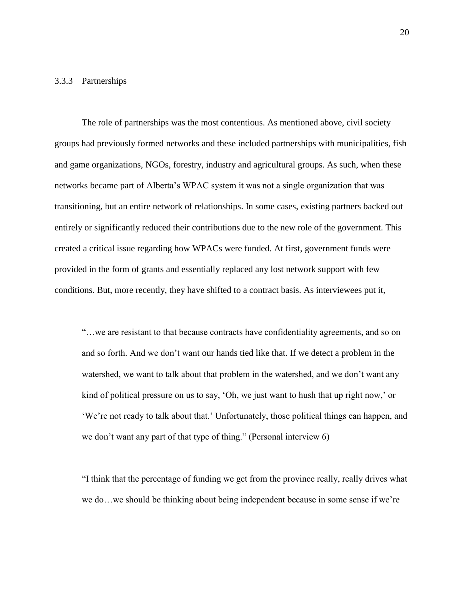#### 3.3.3 Partnerships

The role of partnerships was the most contentious. As mentioned above, civil society groups had previously formed networks and these included partnerships with municipalities, fish and game organizations, NGOs, forestry, industry and agricultural groups. As such, when these networks became part of Alberta's WPAC system it was not a single organization that was transitioning, but an entire network of relationships. In some cases, existing partners backed out entirely or significantly reduced their contributions due to the new role of the government. This created a critical issue regarding how WPACs were funded. At first, government funds were provided in the form of grants and essentially replaced any lost network support with few conditions. But, more recently, they have shifted to a contract basis. As interviewees put it,

"…we are resistant to that because contracts have confidentiality agreements, and so on and so forth. And we don't want our hands tied like that. If we detect a problem in the watershed, we want to talk about that problem in the watershed, and we don't want any kind of political pressure on us to say, 'Oh, we just want to hush that up right now,' or 'We're not ready to talk about that.' Unfortunately, those political things can happen, and we don't want any part of that type of thing." (Personal interview 6)

"I think that the percentage of funding we get from the province really, really drives what we do…we should be thinking about being independent because in some sense if we're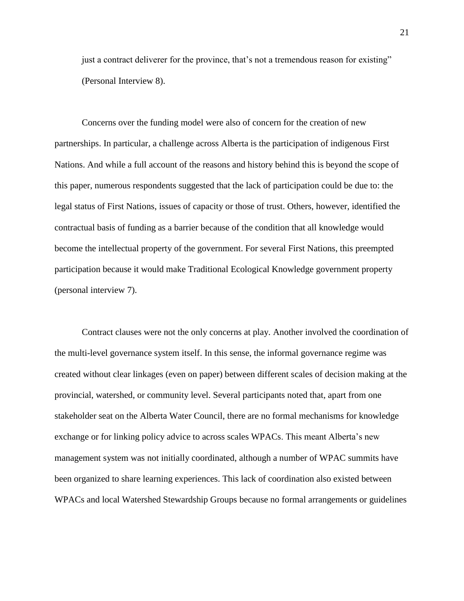just a contract deliverer for the province, that's not a tremendous reason for existing" (Personal Interview 8).

Concerns over the funding model were also of concern for the creation of new partnerships. In particular, a challenge across Alberta is the participation of indigenous First Nations. And while a full account of the reasons and history behind this is beyond the scope of this paper, numerous respondents suggested that the lack of participation could be due to: the legal status of First Nations, issues of capacity or those of trust. Others, however, identified the contractual basis of funding as a barrier because of the condition that all knowledge would become the intellectual property of the government. For several First Nations, this preempted participation because it would make Traditional Ecological Knowledge government property (personal interview 7).

Contract clauses were not the only concerns at play. Another involved the coordination of the multi-level governance system itself. In this sense, the informal governance regime was created without clear linkages (even on paper) between different scales of decision making at the provincial, watershed, or community level. Several participants noted that, apart from one stakeholder seat on the Alberta Water Council, there are no formal mechanisms for knowledge exchange or for linking policy advice to across scales WPACs. This meant Alberta's new management system was not initially coordinated, although a number of WPAC summits have been organized to share learning experiences. This lack of coordination also existed between WPACs and local Watershed Stewardship Groups because no formal arrangements or guidelines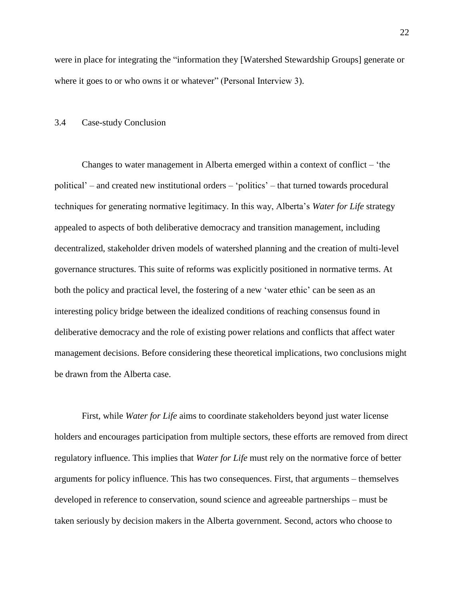were in place for integrating the "information they [Watershed Stewardship Groups] generate or where it goes to or who owns it or whatever" (Personal Interview 3).

#### 3.4 Case-study Conclusion

Changes to water management in Alberta emerged within a context of conflict – 'the political' – and created new institutional orders – 'politics' – that turned towards procedural techniques for generating normative legitimacy. In this way, Alberta's *Water for Life* strategy appealed to aspects of both deliberative democracy and transition management, including decentralized, stakeholder driven models of watershed planning and the creation of multi-level governance structures. This suite of reforms was explicitly positioned in normative terms. At both the policy and practical level, the fostering of a new 'water ethic' can be seen as an interesting policy bridge between the idealized conditions of reaching consensus found in deliberative democracy and the role of existing power relations and conflicts that affect water management decisions. Before considering these theoretical implications, two conclusions might be drawn from the Alberta case.

First, while *Water for Life* aims to coordinate stakeholders beyond just water license holders and encourages participation from multiple sectors, these efforts are removed from direct regulatory influence. This implies that *Water for Life* must rely on the normative force of better arguments for policy influence. This has two consequences. First, that arguments – themselves developed in reference to conservation, sound science and agreeable partnerships – must be taken seriously by decision makers in the Alberta government. Second, actors who choose to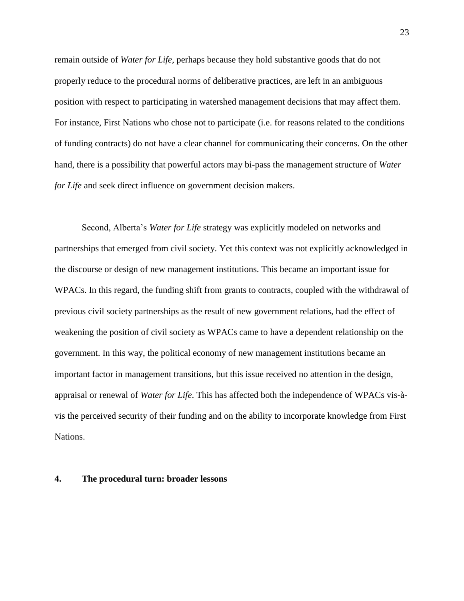remain outside of *Water for Life*, perhaps because they hold substantive goods that do not properly reduce to the procedural norms of deliberative practices, are left in an ambiguous position with respect to participating in watershed management decisions that may affect them. For instance, First Nations who chose not to participate (i.e. for reasons related to the conditions of funding contracts) do not have a clear channel for communicating their concerns. On the other hand, there is a possibility that powerful actors may bi-pass the management structure of *Water for Life* and seek direct influence on government decision makers.

Second, Alberta's *Water for Life* strategy was explicitly modeled on networks and partnerships that emerged from civil society. Yet this context was not explicitly acknowledged in the discourse or design of new management institutions. This became an important issue for WPACs. In this regard, the funding shift from grants to contracts, coupled with the withdrawal of previous civil society partnerships as the result of new government relations, had the effect of weakening the position of civil society as WPACs came to have a dependent relationship on the government. In this way, the political economy of new management institutions became an important factor in management transitions, but this issue received no attention in the design, appraisal or renewal of *Water for Life*. This has affected both the independence of WPACs vis-àvis the perceived security of their funding and on the ability to incorporate knowledge from First Nations.

#### **4. The procedural turn: broader lessons**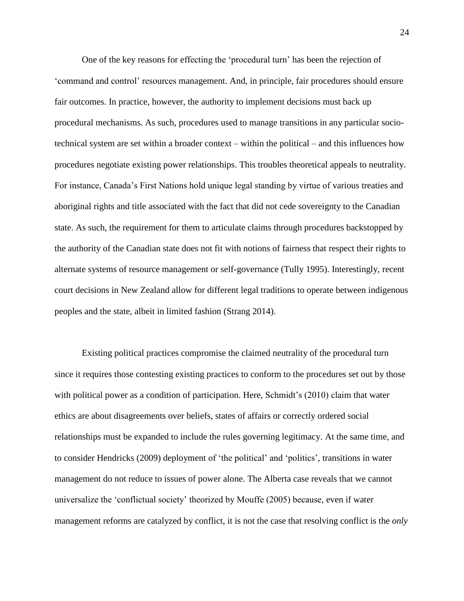One of the key reasons for effecting the 'procedural turn' has been the rejection of 'command and control' resources management. And, in principle, fair procedures should ensure fair outcomes. In practice, however, the authority to implement decisions must back up procedural mechanisms. As such, procedures used to manage transitions in any particular sociotechnical system are set within a broader context – within the political – and this influences how procedures negotiate existing power relationships. This troubles theoretical appeals to neutrality. For instance, Canada's First Nations hold unique legal standing by virtue of various treaties and aboriginal rights and title associated with the fact that did not cede sovereignty to the Canadian state. As such, the requirement for them to articulate claims through procedures backstopped by the authority of the Canadian state does not fit with notions of fairness that respect their rights to alternate systems of resource management or self-governance (Tully 1995). Interestingly, recent court decisions in New Zealand allow for different legal traditions to operate between indigenous peoples and the state, albeit in limited fashion (Strang 2014).

Existing political practices compromise the claimed neutrality of the procedural turn since it requires those contesting existing practices to conform to the procedures set out by those with political power as a condition of participation. Here, Schmidt's (2010) claim that water ethics are about disagreements over beliefs, states of affairs or correctly ordered social relationships must be expanded to include the rules governing legitimacy. At the same time, and to consider Hendricks (2009) deployment of 'the political' and 'politics', transitions in water management do not reduce to issues of power alone. The Alberta case reveals that we cannot universalize the 'conflictual society' theorized by Mouffe (2005) because, even if water management reforms are catalyzed by conflict, it is not the case that resolving conflict is the *only*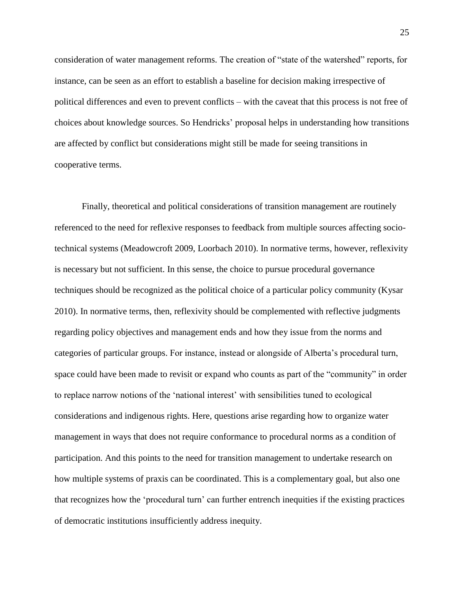consideration of water management reforms. The creation of "state of the watershed" reports, for instance, can be seen as an effort to establish a baseline for decision making irrespective of political differences and even to prevent conflicts – with the caveat that this process is not free of choices about knowledge sources. So Hendricks' proposal helps in understanding how transitions are affected by conflict but considerations might still be made for seeing transitions in cooperative terms.

Finally, theoretical and political considerations of transition management are routinely referenced to the need for reflexive responses to feedback from multiple sources affecting sociotechnical systems (Meadowcroft 2009, Loorbach 2010). In normative terms, however, reflexivity is necessary but not sufficient. In this sense, the choice to pursue procedural governance techniques should be recognized as the political choice of a particular policy community (Kysar 2010). In normative terms, then, reflexivity should be complemented with reflective judgments regarding policy objectives and management ends and how they issue from the norms and categories of particular groups. For instance, instead or alongside of Alberta's procedural turn, space could have been made to revisit or expand who counts as part of the "community" in order to replace narrow notions of the 'national interest' with sensibilities tuned to ecological considerations and indigenous rights. Here, questions arise regarding how to organize water management in ways that does not require conformance to procedural norms as a condition of participation. And this points to the need for transition management to undertake research on how multiple systems of praxis can be coordinated. This is a complementary goal, but also one that recognizes how the 'procedural turn' can further entrench inequities if the existing practices of democratic institutions insufficiently address inequity.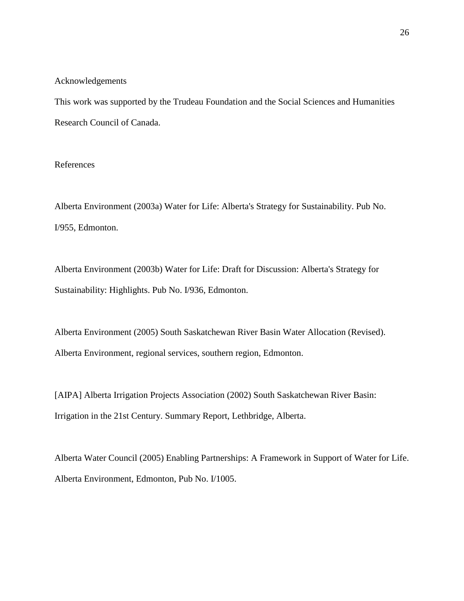#### Acknowledgements

This work was supported by the Trudeau Foundation and the Social Sciences and Humanities Research Council of Canada.

### References

Alberta Environment (2003a) Water for Life: Alberta's Strategy for Sustainability. Pub No. I/955, Edmonton.

Alberta Environment (2003b) Water for Life: Draft for Discussion: Alberta's Strategy for Sustainability: Highlights. Pub No. I/936, Edmonton.

Alberta Environment (2005) South Saskatchewan River Basin Water Allocation (Revised). Alberta Environment, regional services, southern region, Edmonton.

[AIPA] Alberta Irrigation Projects Association (2002) South Saskatchewan River Basin: Irrigation in the 21st Century. Summary Report, Lethbridge, Alberta.

Alberta Water Council (2005) Enabling Partnerships: A Framework in Support of Water for Life. Alberta Environment, Edmonton, Pub No. I/1005.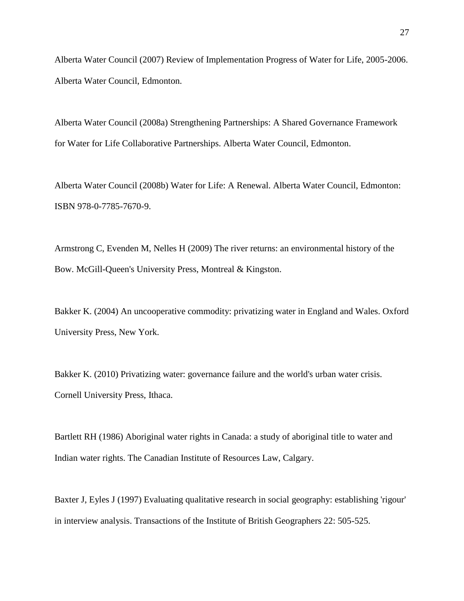Alberta Water Council (2007) Review of Implementation Progress of Water for Life, 2005-2006. Alberta Water Council, Edmonton.

Alberta Water Council (2008a) Strengthening Partnerships: A Shared Governance Framework for Water for Life Collaborative Partnerships. Alberta Water Council, Edmonton.

Alberta Water Council (2008b) Water for Life: A Renewal. Alberta Water Council, Edmonton: ISBN 978-0-7785-7670-9.

Armstrong C, Evenden M, Nelles H (2009) The river returns: an environmental history of the Bow. McGill-Queen's University Press, Montreal & Kingston.

Bakker K. (2004) An uncooperative commodity: privatizing water in England and Wales. Oxford University Press, New York.

Bakker K. (2010) Privatizing water: governance failure and the world's urban water crisis. Cornell University Press, Ithaca.

Bartlett RH (1986) Aboriginal water rights in Canada: a study of aboriginal title to water and Indian water rights. The Canadian Institute of Resources Law, Calgary.

Baxter J, Eyles J (1997) Evaluating qualitative research in social geography: establishing 'rigour' in interview analysis. Transactions of the Institute of British Geographers 22: 505-525.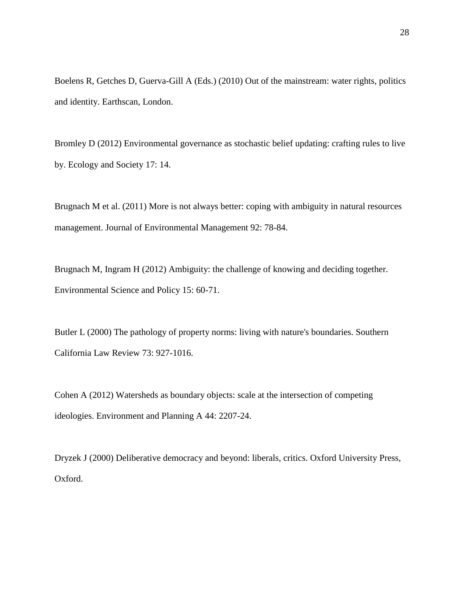Boelens R, Getches D, Guerva-Gill A (Eds.) (2010) Out of the mainstream: water rights, politics and identity. Earthscan, London.

Bromley D (2012) Environmental governance as stochastic belief updating: crafting rules to live by. Ecology and Society 17: 14.

Brugnach M et al. (2011) More is not always better: coping with ambiguity in natural resources management. Journal of Environmental Management 92: 78-84.

Brugnach M, Ingram H (2012) Ambiguity: the challenge of knowing and deciding together. Environmental Science and Policy 15: 60-71.

Butler L (2000) The pathology of property norms: living with nature's boundaries. Southern California Law Review 73: 927-1016.

Cohen A (2012) Watersheds as boundary objects: scale at the intersection of competing ideologies. Environment and Planning A 44: 2207-24.

Dryzek J (2000) Deliberative democracy and beyond: liberals, critics. Oxford University Press, Oxford.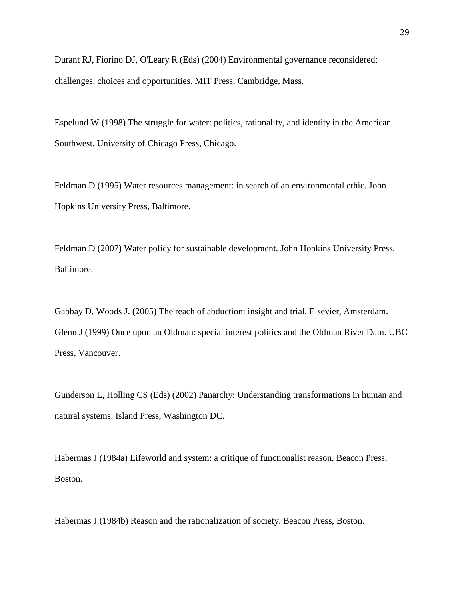Durant RJ, Fiorino DJ, O'Leary R (Eds) (2004) Environmental governance reconsidered: challenges, choices and opportunities. MIT Press, Cambridge, Mass.

Espelund W (1998) The struggle for water: politics, rationality, and identity in the American Southwest. University of Chicago Press, Chicago.

Feldman D (1995) Water resources management: in search of an environmental ethic. John Hopkins University Press, Baltimore.

Feldman D (2007) Water policy for sustainable development. John Hopkins University Press, Baltimore.

Gabbay D, Woods J. (2005) The reach of abduction: insight and trial. Elsevier, Amsterdam. Glenn J (1999) Once upon an Oldman: special interest politics and the Oldman River Dam. UBC Press, Vancouver.

Gunderson L, Holling CS (Eds) (2002) Panarchy: Understanding transformations in human and natural systems. Island Press, Washington DC.

Habermas J (1984a) Lifeworld and system: a critique of functionalist reason. Beacon Press, Boston.

Habermas J (1984b) Reason and the rationalization of society. Beacon Press, Boston.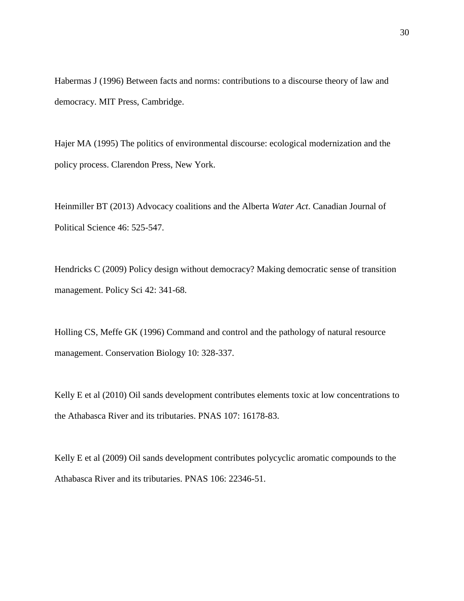Habermas J (1996) Between facts and norms: contributions to a discourse theory of law and democracy. MIT Press, Cambridge.

Hajer MA (1995) The politics of environmental discourse: ecological modernization and the policy process. Clarendon Press, New York.

Heinmiller BT (2013) Advocacy coalitions and the Alberta *Water Act*. Canadian Journal of Political Science 46: 525-547.

Hendricks C (2009) Policy design without democracy? Making democratic sense of transition management. Policy Sci 42: 341-68.

Holling CS, Meffe GK (1996) Command and control and the pathology of natural resource management. Conservation Biology 10: 328-337.

Kelly E et al (2010) Oil sands development contributes elements toxic at low concentrations to the Athabasca River and its tributaries. PNAS 107: 16178-83.

Kelly E et al (2009) Oil sands development contributes polycyclic aromatic compounds to the Athabasca River and its tributaries. PNAS 106: 22346-51.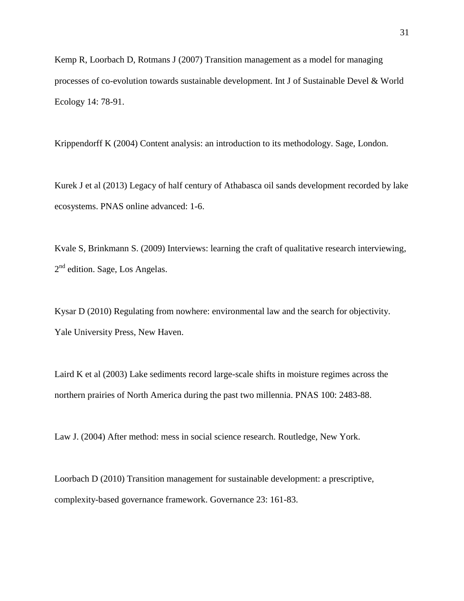Kemp R, Loorbach D, Rotmans J (2007) Transition management as a model for managing processes of co-evolution towards sustainable development. Int J of Sustainable Devel & World Ecology 14: 78-91.

Krippendorff K (2004) Content analysis: an introduction to its methodology. Sage, London.

Kurek J et al (2013) Legacy of half century of Athabasca oil sands development recorded by lake ecosystems. PNAS online advanced: 1-6.

Kvale S, Brinkmann S. (2009) Interviews: learning the craft of qualitative research interviewing, 2<sup>nd</sup> edition. Sage, Los Angelas.

Kysar D (2010) Regulating from nowhere: environmental law and the search for objectivity. Yale University Press, New Haven.

Laird K et al (2003) Lake sediments record large-scale shifts in moisture regimes across the northern prairies of North America during the past two millennia. PNAS 100: 2483-88.

Law J. (2004) After method: mess in social science research. Routledge, New York.

Loorbach D (2010) Transition management for sustainable development: a prescriptive, complexity-based governance framework. Governance 23: 161-83.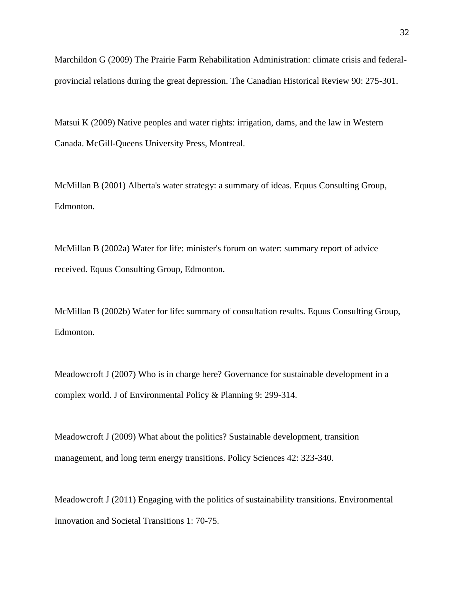Marchildon G (2009) The Prairie Farm Rehabilitation Administration: climate crisis and federalprovincial relations during the great depression. The Canadian Historical Review 90: 275-301.

Matsui K (2009) Native peoples and water rights: irrigation, dams, and the law in Western Canada. McGill-Queens University Press, Montreal.

McMillan B (2001) Alberta's water strategy: a summary of ideas. Equus Consulting Group, Edmonton.

McMillan B (2002a) Water for life: minister's forum on water: summary report of advice received. Equus Consulting Group, Edmonton.

McMillan B (2002b) Water for life: summary of consultation results. Equus Consulting Group, Edmonton.

Meadowcroft J (2007) Who is in charge here? Governance for sustainable development in a complex world. J of Environmental Policy & Planning 9: 299-314.

Meadowcroft J (2009) What about the politics? Sustainable development, transition management, and long term energy transitions. Policy Sciences 42: 323-340.

Meadowcroft J (2011) Engaging with the politics of sustainability transitions. Environmental Innovation and Societal Transitions 1: 70-75.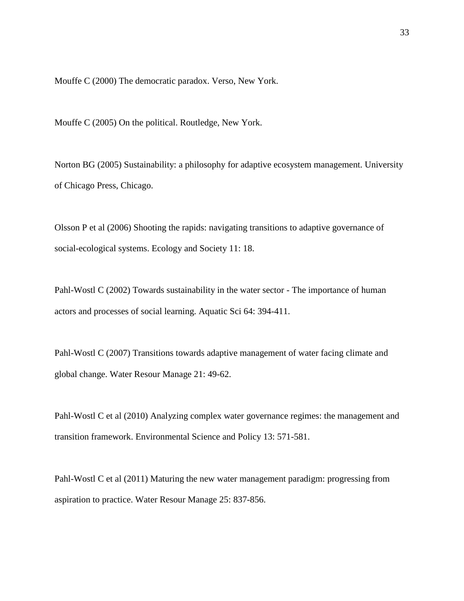Mouffe C (2000) The democratic paradox. Verso, New York.

Mouffe C (2005) On the political. Routledge, New York.

Norton BG (2005) Sustainability: a philosophy for adaptive ecosystem management. University of Chicago Press, Chicago.

Olsson P et al (2006) Shooting the rapids: navigating transitions to adaptive governance of social-ecological systems. Ecology and Society 11: 18.

Pahl-Wostl C (2002) Towards sustainability in the water sector - The importance of human actors and processes of social learning. Aquatic Sci 64: 394-411.

Pahl-Wostl C (2007) Transitions towards adaptive management of water facing climate and global change. Water Resour Manage 21: 49-62.

Pahl-Wostl C et al (2010) Analyzing complex water governance regimes: the management and transition framework. Environmental Science and Policy 13: 571-581.

Pahl-Wostl C et al (2011) Maturing the new water management paradigm: progressing from aspiration to practice. Water Resour Manage 25: 837-856.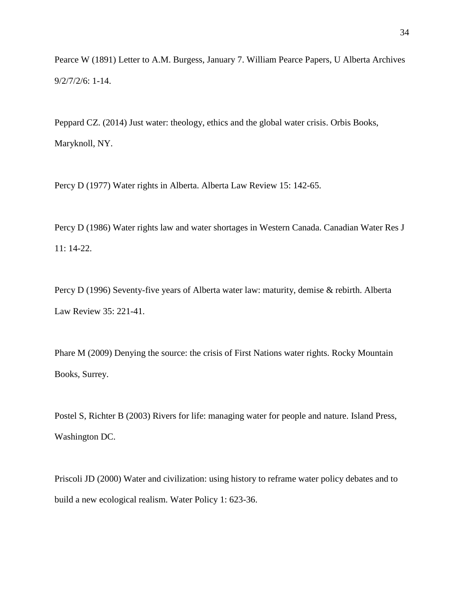Pearce W (1891) Letter to A.M. Burgess, January 7. William Pearce Papers, U Alberta Archives 9/2/7/2/6: 1-14.

Peppard CZ. (2014) Just water: theology, ethics and the global water crisis. Orbis Books, Maryknoll, NY.

Percy D (1977) Water rights in Alberta. Alberta Law Review 15: 142-65.

Percy D (1986) Water rights law and water shortages in Western Canada. Canadian Water Res J 11: 14-22.

Percy D (1996) Seventy-five years of Alberta water law: maturity, demise & rebirth. Alberta Law Review 35: 221-41.

Phare M (2009) Denying the source: the crisis of First Nations water rights. Rocky Mountain Books, Surrey.

Postel S, Richter B (2003) Rivers for life: managing water for people and nature. Island Press, Washington DC.

Priscoli JD (2000) Water and civilization: using history to reframe water policy debates and to build a new ecological realism. Water Policy 1: 623-36.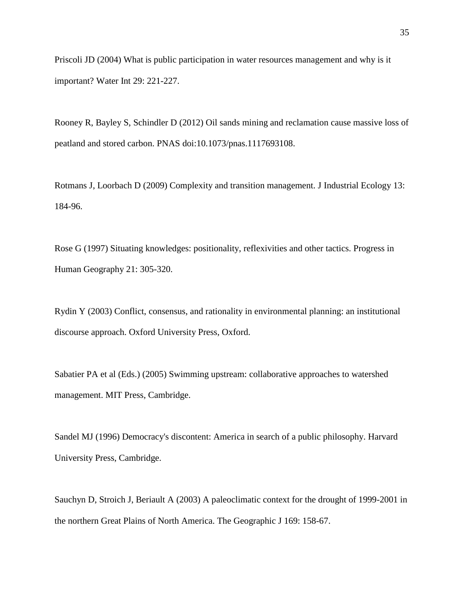Priscoli JD (2004) What is public participation in water resources management and why is it important? Water Int 29: 221-227.

Rooney R, Bayley S, Schindler D (2012) Oil sands mining and reclamation cause massive loss of peatland and stored carbon. PNAS doi:10.1073/pnas.1117693108.

Rotmans J, Loorbach D (2009) Complexity and transition management. J Industrial Ecology 13: 184-96.

Rose G (1997) Situating knowledges: positionality, reflexivities and other tactics. Progress in Human Geography 21: 305-320.

Rydin Y (2003) Conflict, consensus, and rationality in environmental planning: an institutional discourse approach. Oxford University Press, Oxford.

Sabatier PA et al (Eds.) (2005) Swimming upstream: collaborative approaches to watershed management. MIT Press, Cambridge.

Sandel MJ (1996) Democracy's discontent: America in search of a public philosophy. Harvard University Press, Cambridge.

Sauchyn D, Stroich J, Beriault A (2003) A paleoclimatic context for the drought of 1999-2001 in the northern Great Plains of North America. The Geographic J 169: 158-67.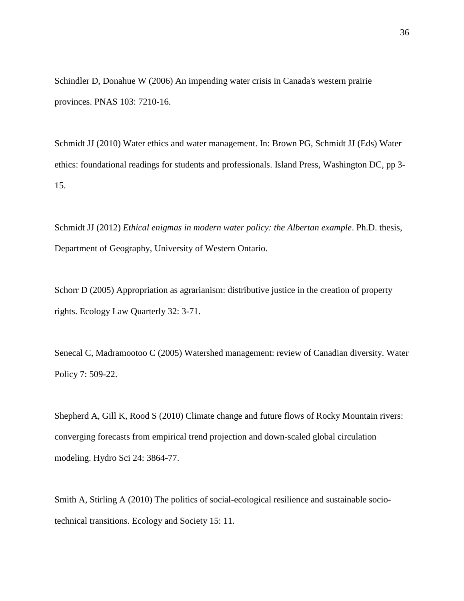Schindler D, Donahue W (2006) An impending water crisis in Canada's western prairie provinces. PNAS 103: 7210-16.

Schmidt JJ (2010) Water ethics and water management. In: Brown PG, Schmidt JJ (Eds) Water ethics: foundational readings for students and professionals. Island Press, Washington DC, pp 3- 15.

Schmidt JJ (2012) *Ethical enigmas in modern water policy: the Albertan example*. Ph.D. thesis, Department of Geography, University of Western Ontario.

Schorr D (2005) Appropriation as agrarianism: distributive justice in the creation of property rights. Ecology Law Quarterly 32: 3-71.

Senecal C, Madramootoo C (2005) Watershed management: review of Canadian diversity. Water Policy 7: 509-22.

Shepherd A, Gill K, Rood S (2010) Climate change and future flows of Rocky Mountain rivers: converging forecasts from empirical trend projection and down-scaled global circulation modeling. Hydro Sci 24: 3864-77.

Smith A, Stirling A (2010) The politics of social-ecological resilience and sustainable sociotechnical transitions. Ecology and Society 15: 11.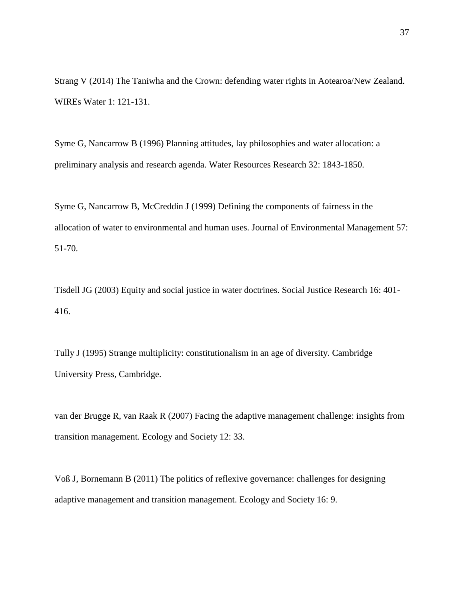Strang V (2014) The Taniwha and the Crown: defending water rights in Aotearoa/New Zealand. WIREs Water 1: 121-131.

Syme G, Nancarrow B (1996) Planning attitudes, lay philosophies and water allocation: a preliminary analysis and research agenda. Water Resources Research 32: 1843-1850.

Syme G, Nancarrow B, McCreddin J (1999) Defining the components of fairness in the allocation of water to environmental and human uses. Journal of Environmental Management 57: 51-70.

Tisdell JG (2003) Equity and social justice in water doctrines. Social Justice Research 16: 401- 416.

Tully J (1995) Strange multiplicity: constitutionalism in an age of diversity. Cambridge University Press, Cambridge.

van der Brugge R, van Raak R (2007) Facing the adaptive management challenge: insights from transition management. Ecology and Society 12: 33.

Voß J, Bornemann B (2011) The politics of reflexive governance: challenges for designing adaptive management and transition management. Ecology and Society 16: 9.